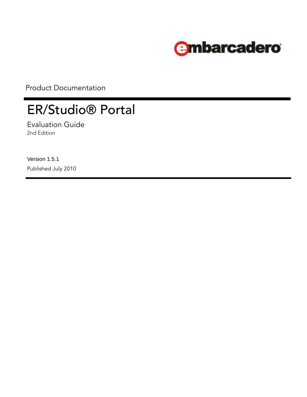

Product Documentation

# ER/Studio® Portal

Evaluation Guide 2nd Edition

Version 1.5.1 Published July 2010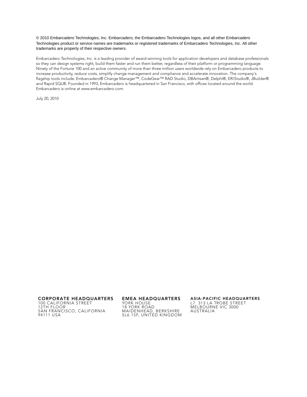© 2010 Embarcadero Technologies, Inc. Embarcadero, the Embarcadero Technologies logos, and all other Embarcadero Technologies product or service names are trademarks or registered trademarks of Embarcadero Technologies, Inc. All other trademarks are property of their respective owners.

Embarcadero Technologies, Inc. is a leading provider of award-winning tools for application developers and database professionals so they can design systems right, build them faster and run them better, regardless of their platform or programming language. Ninety of the Fortune 100 and an active community of more than three million users worldwide rely on Embarcadero products to increase productivity, reduce costs, simplify change management and compliance and accelerate innovation. The company's flagship tools include: Embarcadero® Change Manager™, CodeGear™ RAD Studio, DBArtisan®, Delphi®, ER/Studio®, JBuilder® and Rapid SQL®. Founded in 1993, Embarcadero is headquartered in San Francisco, with offices located around the world. Embarcadero is online at www.embarcadero.com.

July 20, 2010

**CORPORATE HEADQUARTERS EMEA HEADQUARTERS ASIA-PACIFIC HEADQUARTERS** 100 CALIFORNIA STREET 12TH FLOOR SAN FRANCISCO, CALIFORNIA 94111 USA

YORK HOUSE 18 YORK ROAD MAIDENHEAD, BERKSHIRE SL6 1SF, UNITED KINGDOM

L7. 313 LA TROBE STREET

MELBOURNE VIC 3000 AUSTRALIA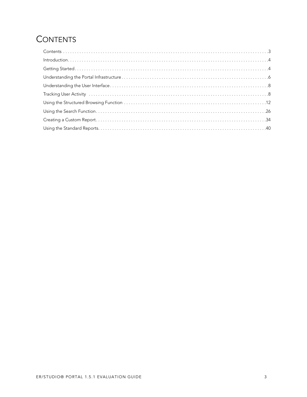## <span id="page-2-0"></span>**CONTENTS**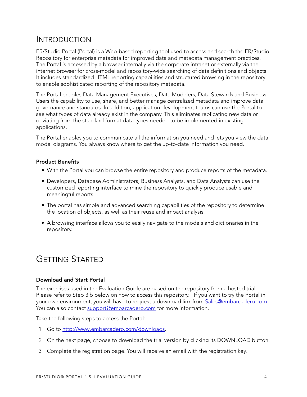### <span id="page-3-0"></span>INTRODUCTION

ER/Studio Portal (Portal) is a Web-based reporting tool used to access and search the ER/Studio Repository for enterprise metadata for improved data and metadata management practices. The Portal is accessed by a browser internally via the corporate intranet or externally via the internet browser for cross-model and repository-wide searching of data definitions and objects. It includes standardized HTML reporting capabilities and structured browsing in the repository to enable sophisticated reporting of the repository metadata.

The Portal enables Data Management Executives, Data Modelers, Data Stewards and Business Users the capability to use, share, and better manage centralized metadata and improve data governance and standards. In addition, application development teams can use the Portal to see what types of data already exist in the company. This eliminates replicating new data or deviating from the standard format data types needed to be implemented in existing applications.

The Portal enables you to communicate all the information you need and lets you view the data model diagrams. You always know where to get the up-to-date information you need.

#### **Product Benefits**

- With the Portal you can browse the entire repository and produce reports of the metadata.
- Developers, Database Administrators, Business Analysts, and Data Analysts can use the customized reporting interface to mine the repository to quickly produce usable and meaningful reports.
- The portal has simple and advanced searching capabilities of the repository to determine the location of objects, as well as their reuse and impact analysis.
- A browsing interface allows you to easily navigate to the models and dictionaries in the repository.

### <span id="page-3-1"></span>GETTING STARTED

#### **Download and Start Portal**

The exercises used in the Evaluation Guide are based on the repository from a hosted trial. Please refer to Step 3.b below on how to access this repository. If you want to try the Portal in your own environment, you will have to request a download link from [Sales@embarcadero.com.](mailto:Sales@embarcadero.com) You can also contact [support@embarcadero.com](mailto:support@embarcadero.com) for more information.

Take the following steps to access the Portal:

- 1 Go to [http://www.embarcadero.com/downloads.](http://www.embarcadero.com/downloads)
- 2 On the next page, choose to download the trial version by clicking its DOWNLOAD button.
- 3 Complete the registration page. You will receive an email with the registration key.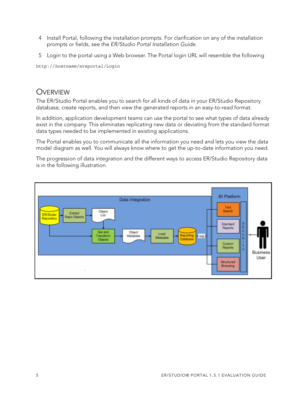- 4 Install Portal, following the installation prompts. For clarification on any of the installation prompts or fields, see the ER/Studio Portal Installation Guide.
- 5 Login to the portal using a Web browser. The Portal login URL will resemble the following

http://*hostname*/ersportal/Login

#### **OVERVIEW**

The ER/Studio Portal enables you to search for all kinds of data in your ER/Studio Repository database, create reports, and then view the generated reports in an easy-to-read format.

In addition, application development teams can use the portal to see what types of data already exist in the company. This eliminates replicating new data or deviating from the standard format data types needed to be implemented in existing applications.

The Portal enables you to communicate all the information you need and lets you view the data model diagram as well. You will always know where to get the up-to-date information you need.

The progression of data integration and the different ways to access ER/Studio Repository data is in the following illustration.

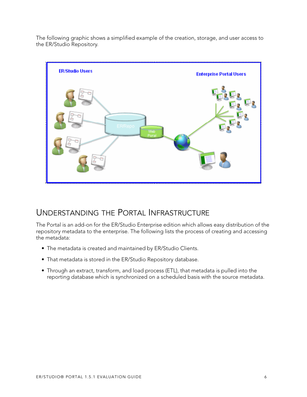The following graphic shows a simplified example of the creation, storage, and user access to the ER/Studio Repository.



### <span id="page-5-0"></span>UNDERSTANDING THE PORTAL INFRASTRUCTURE

The Portal is an add-on for the ER/Studio Enterprise edition which allows easy distribution of the repository metadata to the enterprise. The following lists the process of creating and accessing the metadata:

- The metadata is created and maintained by ER/Studio Clients.
- That metadata is stored in the ER/Studio Repository database.
- Through an extract, transform, and load process (ETL), that metadata is pulled into the reporting database which is synchronized on a scheduled basis with the source metadata.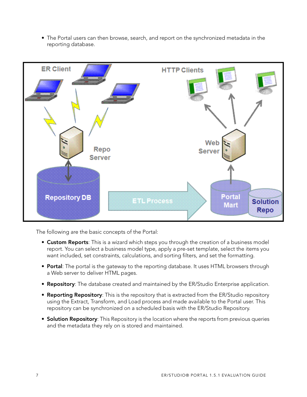• The Portal users can then browse, search, and report on the synchronized metadata in the reporting database.



The following are the basic concepts of the Portal:

- **Custom Reports**: This is a wizard which steps you through the creation of a business model report. You can select a business model type, apply a pre-set template, select the items you want included, set constraints, calculations, and sorting filters, and set the formatting.
- **Portal**: The portal is the gateway to the reporting database. It uses HTML browsers through a Web server to deliver HTML pages.
- **Repository**: The database created and maintained by the ER/Studio Enterprise application.
- **Reporting Repository**: This is the repository that is extracted from the ER/Studio repository using the Extract, Transform, and Load process and made available to the Portal user. This repository can be synchronized on a scheduled basis with the ER/Studio Repository.
- **Solution Repository**: This Repository is the location where the reports from previous queries and the metadata they rely on is stored and maintained.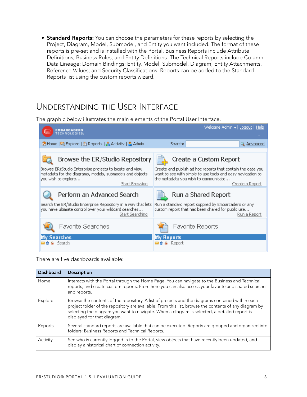• **Standard Reports:** You can choose the parameters for these reports by selecting the Project, Diagram, Model, Submodel, and Entity you want included. The format of these reports is pre-set and is installed with the Portal. Business Reports include Attribute Definitions, Business Rules, and Entity Definitions. The Technical Reports include Column Data Lineage; Domain Bindings; Entity, Model, Submodel, Diagram; Entity Attachments, Reference Values; and Security Classifications. Reports can be added to the Standard Reports list using the custom reports wizard.

### <span id="page-7-0"></span>UNDERSTANDING THE USER INTERFACE

The graphic below illustrates the main elements of the Portal User Interface.

| <b>TECHNOLOGIES</b>                                                                                                                                                     | Welcome Admin v   Logout   Help                                                                                                                                                        |
|-------------------------------------------------------------------------------------------------------------------------------------------------------------------------|----------------------------------------------------------------------------------------------------------------------------------------------------------------------------------------|
| ↑ Home   국 Explore   E Reports   S Activity   S Admin                                                                                                                   | Search:<br>Q Advanced                                                                                                                                                                  |
| Browse the ER/Studio Repository                                                                                                                                         | Create a Custom Report                                                                                                                                                                 |
| Browse ER/Studio Enterprise projects to locate and view<br>metadata for the diagrams, models, submodels and objects<br>you wish to explore<br>Start Browsing            | Create and publish ad hoc reports that contain the data you.<br>want to see with simple to use tools and easy navigation to<br>the metadata you wish to communicate<br>Create a Report |
| Perform an Advanced Search<br>Search the ER/Studio Enterprise Repository in a way that lets<br>you have ultimate control over your wildcard searches<br>Start Searching | Run a Shared Report<br>Run a standard report supplied by Embarcadero or any<br>custom report that has been shared for public use<br>Run a Report                                       |
| Favorite Searches                                                                                                                                                       | Favorite Reports                                                                                                                                                                       |
| Searches<br>Search                                                                                                                                                      | <b>Reports</b><br>Report                                                                                                                                                               |

There are five dashboards available:

| <b>Dashboard</b> | <b>Description</b>                                                                                                                                                                                                                                                                                                                       |
|------------------|------------------------------------------------------------------------------------------------------------------------------------------------------------------------------------------------------------------------------------------------------------------------------------------------------------------------------------------|
| Home             | Interacts with the Portal through the Home Page. You can navigate to the Business and Technical<br>reports, and create custom reports. From here you can also access your favorite and shared searches<br>and reports.                                                                                                                   |
| Explore          | Browse the contents of the repository. A list of projects and the diagrams contained within each<br>project folder of the repository are available. From this list, browse the contents of any diagram by<br>selecting the diagram you want to navigate. When a diagram is selected, a detailed report is<br>displayed for that diagram. |
| Reports          | Several standard reports are available that can be executed. Reports are grouped and organized into<br>folders: Business Reports and Technical Reports.                                                                                                                                                                                  |
| Activity         | See who is currently logged in to the Portal, view objects that have recently been updated, and<br>display a historical chart of connection activity.                                                                                                                                                                                    |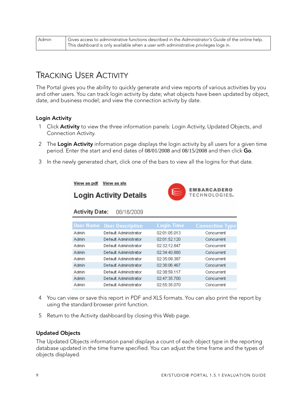| Admin | Gives access to administrative functions described in the Administrator's Guide of the online help. |
|-------|-----------------------------------------------------------------------------------------------------|
|       | This dashboard is only available when a user with administrative privileges logs in.                |

### <span id="page-8-0"></span>TRACKING USER ACTIVITY

The Portal gives you the ability to quickly generate and view reports of various activities by you and other users. You can track login activity by date; what objects have been updated by object, date, and business model; and view the connection activity by date.

#### **Login Activity**

- 1 Click **Activity** to view the three information panels: Login Activity, Updated Objects, and Connection Activity.
- 2 The **Login Activity** information page displays the login activity by all users for a given time period. Enter the start and end dates of 08/01/2008 and 08/15/2008 and then click **Go**.
- 3 In the newly generated chart, click one of the bars to view all the logins for that date.

View as pdf View as xls

**Activity Date:** 



**Login Activity Details** 

06/16/2009

|       | <b>User Name</b> User Description | <b>Login Time</b> | <b>Connection Type</b> |
|-------|-----------------------------------|-------------------|------------------------|
| Admin | Default Administrator             | 02:01:05.013      | Concurrent             |
| Admin | Default Administrator             | 02:01:52.120      | Concurrent             |
| Admin | Default Administrator             | 02:32:12.847      | Concurrent             |
| Admin | Default Administrator             | 02:34:40.880      | Concurrent             |
| Admin | Default Administrator             | 02:35:09.387      | Concurrent             |
| Admin | Default Administrator             | 02:36:06.467      | Concurrent             |
| Admin | Default Administrator             | 02:38:59.117      | Concurrent             |
| Admin | Default Administrator             | 02:47:35.700      | Concurrent             |
| Admin | Default Administrator             | 02:55:35.070      | Concurrent             |
|       |                                   |                   |                        |

- 4 You can view or save this report in PDF and XLS formats. You can also print the report by using the standard browser print function.
- 5 Return to the Activity dashboard by closing this Web page.

#### **Updated Objects**

The Updated Objects information panel displays a count of each object type in the reporting database updated in the time frame specified. You can adjust the time frame and the types of objects displayed.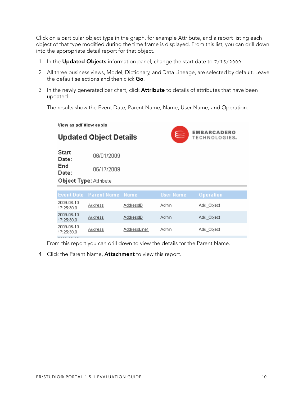Click on a particular object type in the graph, for example Attribute, and a report listing each object of that type modified during the time frame is displayed. From this list, you can drill down into the appropriate detail report for that object.

- 1 In the **Updated Objects** information panel, change the start date to 7/15/2009.
- 2 All three business views, Model, Dictionary, and Data Lineage, are selected by default. Leave the default selections and then click **Go**.
- 3 In the newly generated bar chart, click **Attribute** to details of attributes that have been updated.

The results show the Event Date, Parent Name, Name, User Name, and Operation.

View as pdf View as xls **EMBARCADERO Updated Object Details** TECHNOLOGIES。 **Start** 06/01/2009 Date: End 06/17/2009 Date: Object Type: Attribute 2009-06-10 **Address AddressID** Admin Add\_Object 17:25:30.0 2009-06-10 **Address** AddressID **Admin** Add\_Object 17:25:30.0 2009-06-10 **Address** AddressLine1 Admin. Add\_Object 17:25:30.0

From this report you can drill down to view the details for the Parent Name.

4 Click the Parent Name, **Attachment** to view this report.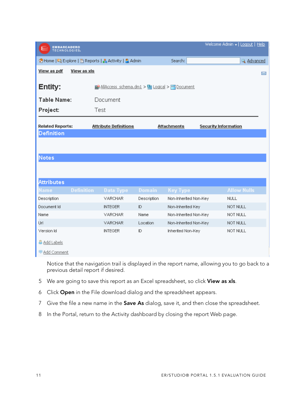| Welcome Admin v   Logout   Help<br><b>EMBARCADERO</b><br>TECHNOLOGIES, |                   |                                                       |               |                       |                                                                                                               |   |
|------------------------------------------------------------------------|-------------------|-------------------------------------------------------|---------------|-----------------------|---------------------------------------------------------------------------------------------------------------|---|
|                                                                        |                   | ↑ Home   E Explore   B Reports   & Activity   S Admin |               | Search:               | & Advanced                                                                                                    |   |
| View as pdf                                                            | View as xls       |                                                       |               |                       |                                                                                                               | X |
| Entity:                                                                |                   | E AllAccess schema.dm1 > E Logical > Bocument         |               |                       |                                                                                                               |   |
| <b>Table Name:</b>                                                     |                   | Document                                              |               |                       |                                                                                                               |   |
| Project:                                                               |                   | Test                                                  |               |                       |                                                                                                               |   |
|                                                                        |                   |                                                       |               |                       |                                                                                                               |   |
| <b>Related Reports:</b><br><b>Definition</b>                           |                   | <b>Attribute Definitions</b>                          |               | <b>Attachments</b>    | <b>Security Information</b>                                                                                   |   |
|                                                                        |                   |                                                       |               |                       |                                                                                                               |   |
|                                                                        |                   |                                                       |               |                       |                                                                                                               |   |
| <b>Notes</b>                                                           |                   |                                                       |               |                       |                                                                                                               |   |
|                                                                        |                   |                                                       |               |                       |                                                                                                               |   |
|                                                                        |                   |                                                       |               |                       |                                                                                                               |   |
| <b>Attributes</b>                                                      |                   |                                                       |               |                       |                                                                                                               |   |
| Name                                                                   | <b>Definition</b> | Data Type                                             | <b>Domain</b> | <b>Key Type</b>       | <b>Allow Nulls</b>                                                                                            |   |
| Description                                                            |                   | VARCHAR                                               | Description   | Non-Inherited Non-Key | <b>NULL</b>                                                                                                   |   |
| Document Id                                                            |                   | <b>INTEGER</b>                                        | ID.           | Non-Inherited Key     | NOT NULL                                                                                                      |   |
| Name                                                                   |                   | <b>VARCHAR</b>                                        | Name          | Non-Inherited Non-Key | NOT NULL                                                                                                      |   |
| Url                                                                    |                   | <b>VARCHAR</b>                                        | Location      | Non-Inherited Non-Key | NOT NULL                                                                                                      |   |
| Version Id                                                             |                   | <b>INTEGER</b>                                        | ID.           | Inherited Non-Key     | NOT NULL                                                                                                      |   |
| & Add Labels                                                           |                   |                                                       |               |                       |                                                                                                               |   |
| Add Comment                                                            |                   |                                                       |               |                       |                                                                                                               |   |
|                                                                        |                   |                                                       |               |                       | الرامام والمسامع بروس وستسبط المتمومون ومستحمد وماليون اموردها ومناورها أنمس وسنعوه ومستحام والإعمالا ومنعولة |   |

Notice that the navigation trail is displayed in the report name, allowing you to go back to a previous detail report if desired.

- 5 We are going to save this report as an Excel spreadsheet, so click **View as xls**.
- 6 Click **Open** in the File download dialog and the spreadsheet appears.
- 7 Give the file a new name in the **Save As** dialog, save it, and then close the spreadsheet.
- 8 In the Portal, return to the Activity dashboard by closing the report Web page.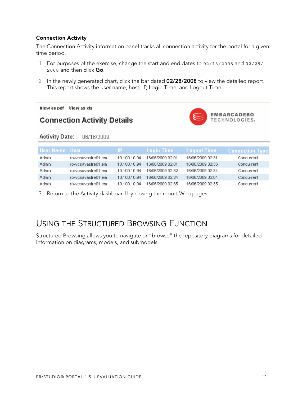#### **Connection Activity**

The Connection Activity information panel tracks all connection activity for the portal for a given time period.

- 1 For purposes of the exercise, change the start and end dates to 02/13/2008 and 02/28/ 2008 and then click **Go**.
- 2 In the newly generated chart, click the bar dated **02/28/2008** to view the detailed report. This report shows the user name, host, IP, Login Time, and Logout Time.

View as pdf View as xls

### **Connection Activity Details**



#### **Activity Date:** 06/16/2009

| User Name Host |                   | IP.          | Login Time '     | <b>Logout Time</b> | <b>Connection Type</b> |
|----------------|-------------------|--------------|------------------|--------------------|------------------------|
| <b>Admin</b>   | rowcsavastre01.em | 10.100.10.94 | 16/06/2009 02:01 | 16/06/2009 02:31   | Concurrent             |
| Admin          | rowcsavastre01.em | 10.100.10.94 | 16/06/2009 02:01 | 16/06/2009 02:36   | Concurrent             |
| Admin          | rowcsavastre01.em | 10.100.10.94 | 16/06/2009 02:32 | 16/06/2009 02:34   | Concurrent             |
| Admin          | rowcsavastre01.em | 10.100.10.94 | 16/06/2009 02:34 | 16/06/2009 03:04   | Concurrent             |
| Admin          | rowcsavastre01.em | 10.100.10.94 | 16/06/2009 02:35 | 16/06/2009 02:35   | Concurrent             |

3 Return to the Activity dashboard by closing the report Web pages.

### <span id="page-11-0"></span>USING THE STRUCTURED BROWSING FUNCTION

Structured Browsing allows you to navigate or "browse" the repository diagrams for detailed information on diagrams, models, and submodels.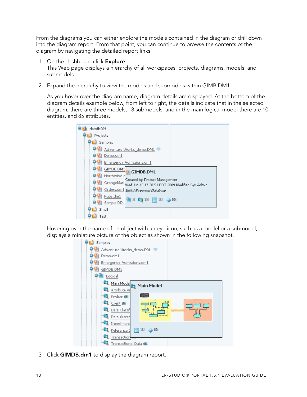From the diagrams you can either explore the models contained in the diagram or drill down into the diagram report. From that point, you can continue to browse the contents of the diagram by navigating the detailed report links.

- 1 On the dashboard click **Explore**. This Web page displays a hierarchy of all workspaces, projects, diagrams, models, and submodels.
- 2 Expand the hierarchy to view the models and submodels within GIMB.DM1.

As you hover over the diagram name, diagram details are displayed. At the bottom of the diagram details example below, from left to right, the details indicate that in the selected diagram, there are three models, 18 submodels, and in the main logical model there are 10 entities, and 85 attributes.

| datotb009                                                                                      |       |
|------------------------------------------------------------------------------------------------|-------|
| Projects                                                                                       |       |
| Samples                                                                                        |       |
| Adventure Works_demo.DM1                                                                       |       |
| Demo.dm1                                                                                       |       |
| Emergency Admissions.dm1                                                                       |       |
| GIMDB.DM1<br>GIMDB.DM1                                                                         |       |
| Northwind.c                                                                                    |       |
| Created by Product Management<br>OrangeMart<br>Wed Jun 10 17:28:51 EDT 2009 Modified By: Admin |       |
| Orders.dm1 Initial Reversed Database                                                           |       |
| Pubs.dm1                                                                                       |       |
| 国3 6218 円10<br>Sample DDL                                                                      | - ⊘85 |
| Small                                                                                          |       |
| Test                                                                                           |       |

Hovering over the name of an object with an eye icon, such as a model or a submodel, displays a miniature picture of the object as shown in the following snapshot.

| Samples                                                                                                             |
|---------------------------------------------------------------------------------------------------------------------|
| Adventure Works_demo.DM1                                                                                            |
| Demo.dm1                                                                                                            |
| Emergency Admissions.dm1                                                                                            |
| GIMDB.DM1                                                                                                           |
| Logical                                                                                                             |
| Main Model<br><b>Main Model</b><br>Ť.<br>Attribute Vi                                                               |
| Broker #<br>an a<br>Client ®<br>Data Classif<br>Data Wareh<br>Investment<br>⊘85<br>10<br>Reference I<br>Transaction |
| Transactional Data 编                                                                                                |

3 Click **GIMDB.dm1** to display the diagram report.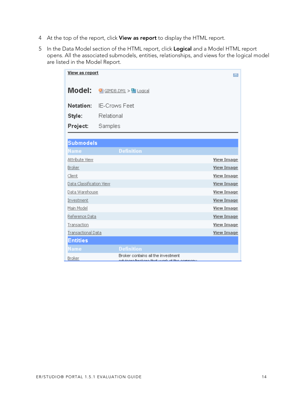- 4 At the top of the report, click **View as report** to display the HTML report.
- 5 In the Data Model section of the HTML report, click **Logical** and a Model HTML report opens. All the associated submodels, entities, relationships, and views for the logical model are listed in the Model Report.

| View as report            |                                                                                   | Z                 |  |
|---------------------------|-----------------------------------------------------------------------------------|-------------------|--|
| Model:                    | <b>Wi GIMDB.DM1 &gt; 国 Logical</b>                                                |                   |  |
| Notation:                 | <b>IE-Crows Feet</b>                                                              |                   |  |
| Style:                    | Relational                                                                        |                   |  |
| Project:                  | Samples                                                                           |                   |  |
|                           |                                                                                   |                   |  |
| <b>Submodels</b>          |                                                                                   |                   |  |
| Name                      | <b>Definition</b>                                                                 |                   |  |
| Attribute View            |                                                                                   | <b>View Image</b> |  |
| Broker                    |                                                                                   | <b>View Image</b> |  |
| Client                    |                                                                                   | <b>View Image</b> |  |
| Data Classification View  |                                                                                   | <b>View Image</b> |  |
| Data Warehouse            |                                                                                   | <b>View Image</b> |  |
| Investment                |                                                                                   | <b>View Image</b> |  |
| Main Model                |                                                                                   | <b>View Image</b> |  |
| Reference Data            |                                                                                   | <b>View Image</b> |  |
| Transaction               |                                                                                   | <b>View Image</b> |  |
| <b>Transactional Data</b> |                                                                                   | <b>View Image</b> |  |
| <b>Entities</b>           |                                                                                   |                   |  |
| Name                      | <b>Definition</b>                                                                 |                   |  |
| Broker                    | Broker contains all the investment<br>odulooko lakakaka tlaat waxkat tibo oomaanu |                   |  |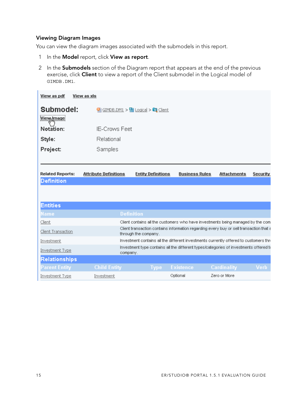#### **Viewing Diagram Images**

You can view the diagram images associated with the submodels in this report.

- 1 In the **Model** report, click **View as report**.
- 2 In the **Submodels** section of the Diagram report that appears at the end of the previous exercise, click **Client** to view a report of the Client submodel in the Logical model of GIMDB.DM1.

| View as pdf             | View as xls                  |                                                               |                       |                                                                                        |          |
|-------------------------|------------------------------|---------------------------------------------------------------|-----------------------|----------------------------------------------------------------------------------------|----------|
| Submodel:               |                              | $\bigcirc$ GIMDB.DM1 > $\bigcirc$ Logical > $\bigcirc$ Client |                       |                                                                                        |          |
| View Image              |                              |                                                               |                       |                                                                                        |          |
| Notation:               | <b>IE-Crows Feet</b>         |                                                               |                       |                                                                                        |          |
| Style:                  | Relational                   |                                                               |                       |                                                                                        |          |
| Project:                | Samples                      |                                                               |                       |                                                                                        |          |
|                         |                              |                                                               |                       |                                                                                        |          |
|                         |                              |                                                               |                       |                                                                                        |          |
| <b>Related Reports:</b> | <b>Attribute Definitions</b> | <b>Entity Definitions</b>                                     | <b>Business Rules</b> | <b>Attachments</b>                                                                     | Security |
| <b>Definition</b>       |                              |                                                               |                       |                                                                                        |          |
|                         |                              |                                                               |                       |                                                                                        |          |
| <b>Entities</b>         |                              |                                                               |                       |                                                                                        |          |
|                         |                              |                                                               |                       |                                                                                        |          |
| Name                    |                              | <b>Definition</b>                                             |                       |                                                                                        |          |
| Client                  |                              |                                                               |                       | Client contains all the customers who have investments being managed by the com        |          |
| Client Transaction      |                              | through the company.                                          |                       | Client transaction contains information regarding every buy or sell transaction that a |          |
| Investment              |                              |                                                               |                       | Investment contains all the different investments currently offered to customers thre  |          |
| Investment Type         | company.                     |                                                               |                       | Investment type contains all the different types/categories of investments offered to  |          |
| Relationships           |                              |                                                               |                       |                                                                                        |          |
| <b>Parent Entity</b>    | <b>Child Entity</b>          | Type                                                          | <b>Existence</b>      | Cardinality                                                                            | Verb     |
| <b>Investment Type</b>  | Investment                   |                                                               | Optional              | Zero or More                                                                           |          |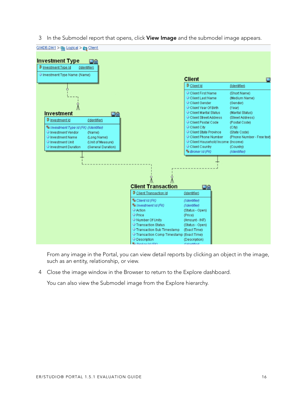3 In the Submodel report that opens, click **View Image** and the submodel image appears.



From any image in the Portal, you can view detail reports by clicking an object in the image, such as an entity, relationship, or view.

4 Close the image window in the Browser to return to the Explore dashboard.

You can also view the Submodel image from the Explore hierarchy.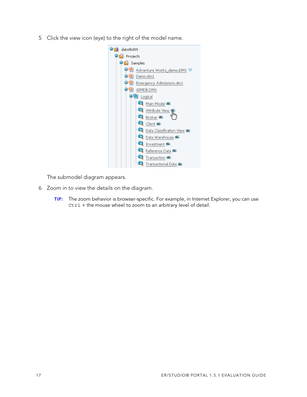5 Click the view icon (eye) to the right of the model name.



The submodel diagram appears.

- 6 Zoom in to view the details on the diagram.
	- **TIP:** The zoom behavior is browser-specific. For example, in Internet Explorer, you can use Ctrl + the mouse wheel to zoom to an arbitrary level of detail.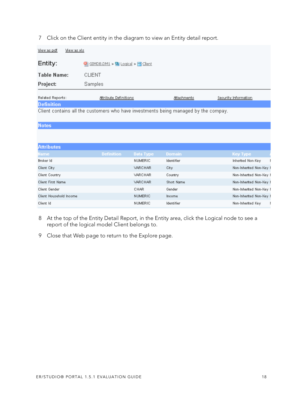#### 7 Click on the Client entity in the diagram to view an Entity detail report.

| View as pdf<br>View as xls                                                                               |                                   |             |                      |  |  |
|----------------------------------------------------------------------------------------------------------|-----------------------------------|-------------|----------------------|--|--|
| Entity:                                                                                                  | GIMDB.DM1 > Logical > Client<br>œ |             |                      |  |  |
| <b>Table Name:</b>                                                                                       | <b>CLIENT</b>                     |             |                      |  |  |
| Project:                                                                                                 | Samples                           |             |                      |  |  |
| Related Reports:                                                                                         | Attribute Definitions             | Attachments | Security Information |  |  |
| <b>Definition</b><br>Client contains all the customers who have investments being managed by the compay. |                                   |             |                      |  |  |
| <b>Notes</b>                                                                                             |                                   |             |                      |  |  |
|                                                                                                          |                                   |             |                      |  |  |
| <b><i>Based Institution</i></b>                                                                          |                                   |             |                      |  |  |

| AWHAUES                  |                   |                |               |                         |
|--------------------------|-------------------|----------------|---------------|-------------------------|
| Namel                    | <b>Definition</b> | Data Type      | <b>Domain</b> | Key Type                |
| Broker Id                |                   | <b>NUMERIC</b> | Identifier    | Inherited Non-Key       |
| Client City              |                   | VARCHAR        | City          | Non-Inherited Non-Key 1 |
| Client Country           |                   | VARCHAR        | Country       | Non-Inherited Non-Key 1 |
| <b>Client First Name</b> |                   | VARCHAR        | Short Name    | Non-Inherited Non-Key 1 |
| Client Gender            |                   | CHAR           | Gender        | Non-Inherited Non-Key I |
| Client Household Income  |                   | <b>NUMERIC</b> | Income        | Non-Inherited Non-Key 1 |
| Client Id                |                   | <b>NUMERIC</b> | Identifier    | Non-Inherited Key       |
|                          |                   |                |               |                         |

- 8 At the top of the Entity Detail Report, in the Entity area, click the Logical node to see a report of the logical model Client belongs to.
- 9 Close that Web page to return to the Explore page.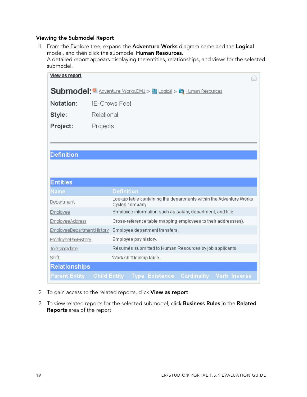#### **Viewing the Submodel Report**

1 From the Explore tree, expand the **Adventure Works** diagram name and the **Logical** model, and then click the submodel **Human Resources**. A detailed report appears displaying the entities, relationships, and views for the selected  $\mathbf{a}$ 

| submodel.                 |                                                                                          |  |  |  |  |
|---------------------------|------------------------------------------------------------------------------------------|--|--|--|--|
| <b>View as report</b>     |                                                                                          |  |  |  |  |
|                           | Submodel: <sup>6</sup> Adventure Works.DM1 > <b>B</b> Logical > <b>C</b> Human Resources |  |  |  |  |
| Notation:                 | <b>IE-Crows Feet</b>                                                                     |  |  |  |  |
| Style:                    | Relational                                                                               |  |  |  |  |
| Project:                  | Projects                                                                                 |  |  |  |  |
|                           |                                                                                          |  |  |  |  |
|                           |                                                                                          |  |  |  |  |
| <b>Definition</b>         |                                                                                          |  |  |  |  |
|                           |                                                                                          |  |  |  |  |
| <b>Entities</b>           |                                                                                          |  |  |  |  |
| Name                      | <b>Definition</b>                                                                        |  |  |  |  |
| <b>Department</b>         | Lookup table containing the departments within the Adventure Works<br>Cycles company.    |  |  |  |  |
| <b>Employee</b>           | Employee information such as salary, department, and title.                              |  |  |  |  |
| <b>EmployeeAddress</b>    | Cross-reference table mapping employees to their address(es).                            |  |  |  |  |
| EmployeeDepartmentHistory | Employee department transfers.                                                           |  |  |  |  |
| EmployeePayHistory        | Employee pay history.                                                                    |  |  |  |  |
| JobCandidate              | Résumés submitted to Human Resources by job applicants.                                  |  |  |  |  |
| Shift                     | Work shift lookup table.                                                                 |  |  |  |  |
| Relationships             |                                                                                          |  |  |  |  |
| <b>Parent Entity</b>      | <b>Child Entity</b><br>Type Existence Cardinality Verb Inverse                           |  |  |  |  |

- 2 To gain access to the related reports, click **View as report**.
- 3 To view related reports for the selected submodel, click **Business Rules** in the **Related Reports** area of the report.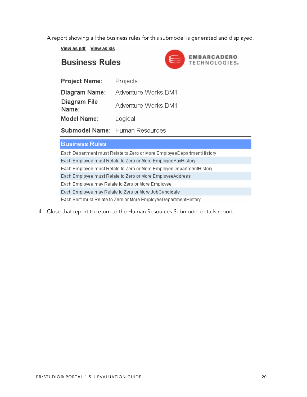A report showing all the business rules for this submodel is generated and displayed.

View as pdf View as xls

### **Business Rules**



| <b>Project Name:</b>  | Projects                              |
|-----------------------|---------------------------------------|
| Diagram Name:         | Adventure Works.DM1                   |
| Diagram File<br>Name: | Adventure Works.DM1                   |
| Model Name:           | Logical                               |
|                       | <b>Submodel Name:</b> Human Resources |

#### **Business Rules**

Each Department must Relate to Zero or More EmployeeDepartmentHistory Each Employee must Relate to Zero or More EmployeePayHistory Each Employee must Relate to Zero or More EmployeeDepartmentHistory Each Employee must Relate to Zero or More EmployeeAddress Each Employee may Relate to Zero or More Employee Each Employee may Relate to Zero or More JobCandidate Each Shift must Relate to Zero or More EmployeeDepartmentHistory

4 Close that report to return to the Human Resources Submodel details report.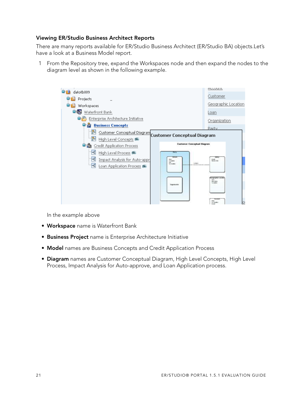#### **Viewing ER/Studio Business Architect Reports**

There are many reports available for ER/Studio Business Architect (ER/Studio BA) objects.Let's have a look at a Business Model report.

1 From the Repository tree, expand the Workspaces node and then expand the nodes to the diagram level as shown in the following example.



In the example above

- **Workspace** name is Waterfront Bank
- **Business Project** name is Enterprise Architecture Initiative
- **Model** names are Business Concepts and Credit Application Process
- **Diagram** names are Customer Conceptual Diagram, High Level Concepts, High Level Process, Impact Analysis for Auto-approve, and Loan Application process.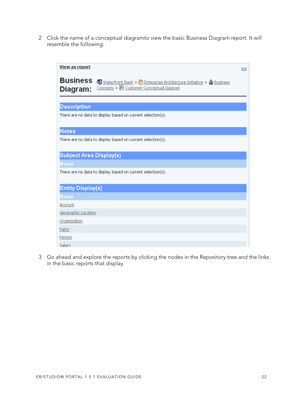2 Click the name of a conceptual diagramto view the basic Business Diagram report. It will resemble the following:

| View as report              |                                                                                                                                   | $\overline{\phantom{a}}$ |  |
|-----------------------------|-----------------------------------------------------------------------------------------------------------------------------------|--------------------------|--|
| <b>Business</b><br>Diagram: | Hall Waterfront Bank > B Enterprise Architecture Initiative > <mark>金</mark> Business<br>Concepts > 8 Customer Conceptual Diagram |                          |  |
| <b>Description</b>          |                                                                                                                                   |                          |  |
|                             | There are no data to display based on current selection(s).                                                                       |                          |  |
| <b>Notes</b>                |                                                                                                                                   |                          |  |
|                             | There are no data to display based on current selection(s).                                                                       |                          |  |
| Subject Area Display(s)     |                                                                                                                                   |                          |  |
| Name                        |                                                                                                                                   |                          |  |
|                             | There are no data to display based on current selection(s).                                                                       |                          |  |
| Entity Display(s)           |                                                                                                                                   |                          |  |
| Name                        |                                                                                                                                   |                          |  |
| Account                     |                                                                                                                                   |                          |  |
| Geographic Location         |                                                                                                                                   |                          |  |
| Organization                |                                                                                                                                   |                          |  |
| Party                       |                                                                                                                                   |                          |  |
| Person                      |                                                                                                                                   |                          |  |
| Salary                      |                                                                                                                                   |                          |  |

3 Go ahead and explore the reports by clicking the nodes in the Repository tree and the links in the basic reports that display.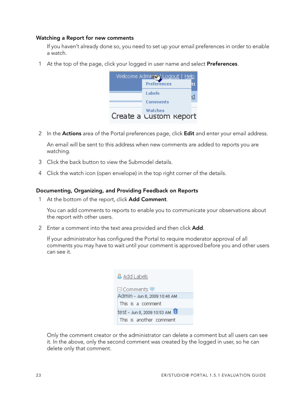#### **Watching a Report for new comments**

If you haven't already done so, you need to set up your email preferences in order to enable a watch.

1 At the top of the page, click your logged in user name and select **Preferences**.



2 In the **Actions** area of the Portal preferences page, click **Edit** and enter your email address.

An email will be sent to this address when new comments are added to reports you are watching.

- 3 Click the back button to view the Submodel details.
- 4 Click the watch icon (open envelope) in the top right corner of the details.

#### **Documenting, Organizing, and Providing Feedback on Reports**

1 At the bottom of the report, click **Add Comment**.

You can add comments to reports to enable you to communicate your observations about the report with other users.

2 Enter a comment into the text area provided and then click **Add**.

If your administrator has configured the Portal to require moderator approval of all comments you may have to wait until your comment is approved before you and other users can see it.

| <b>&amp; Add Labels</b>                   |  |  |  |  |
|-------------------------------------------|--|--|--|--|
| 日Comments !!!                             |  |  |  |  |
| Admin - Jun 8, 2009 10:48 AM              |  |  |  |  |
| This is a comment                         |  |  |  |  |
| test - Jun 8, 2009 10:53 AM <sup>11</sup> |  |  |  |  |
| This is another comment                   |  |  |  |  |

Only the comment creator or the administrator can delete a comment but all users can see it. In the above, only the second comment was created by the logged in user, so he can delete only that comment.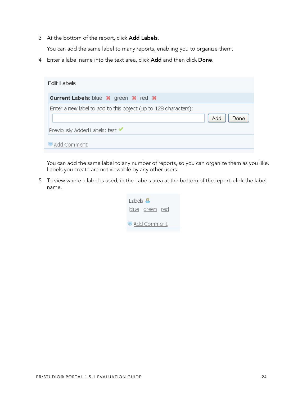3 At the bottom of the report, click **Add Labels**.

You can add the same label to many reports, enabling you to organize them.

4 Enter a label name into the text area, click **Add** and then click **Done**.

| <b>Current Labels:</b> blue <b>x</b> green <b>x</b> red <b>x</b> |                    |
|------------------------------------------------------------------|--------------------|
|                                                                  |                    |
| Enter a new label to add to this object (up to 128 characters):  | <b>Add</b><br>Done |
| Previously Added Labels: test ♥<br>Add Comment                   |                    |

You can add the same label to any number of reports, so you can organize them as you like. Labels you create are not viewable by any other users.

5 To view where a label is used, in the Labels area at the bottom of the report, click the label name.

| Labels 昌              |  |
|-----------------------|--|
| <u>blue green red</u> |  |
| ● Add Comment         |  |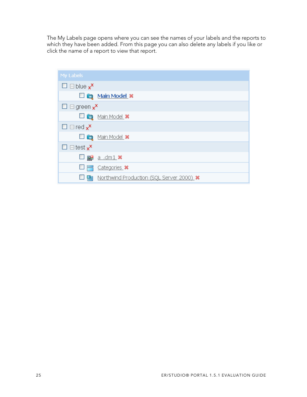The My Labels page opens where you can see the names of your labels and the reports to which they have been added. From this page you can also delete any labels if you like or click the name of a report to view that report.

| My Labels                                           |                                             |
|-----------------------------------------------------|---------------------------------------------|
| $\square$ $\square$ blue $\mathsf{x}^{\mathsf{x}}$  |                                             |
|                                                     | Main Model x                                |
| $\square \sqsupset$ green $\mathbf{x}^{\mathbf{X}}$ |                                             |
|                                                     | $\Box$ $\Box$ Main Model $\bm{x}$           |
| $\square \sqsupseteq \text{red } x^{\mathsf{x}}$    |                                             |
|                                                     | $\Box$ $\Box$ Main Model $\ast$             |
| $\square$ $\square$ test $\mathbf{x}^{\mathbf{X}}$  |                                             |
|                                                     | $\Box$ $\Box$ $\underline{a}$ .dm1 $\times$ |
| $\frac{1}{\sqrt{2}}$<br>$\Box$                      | Categories X                                |
| 튼                                                   | Northwind Production (SQL Server 2000). *   |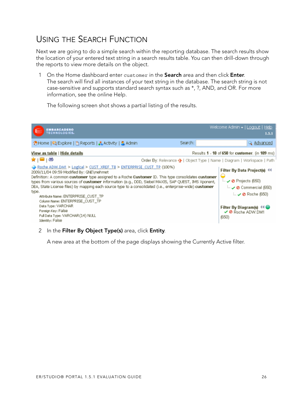### <span id="page-25-0"></span>USING THE SEARCH FUNCTION

Next we are going to do a simple search within the reporting database. The search results show the location of your entered text string in a search results table. You can then drill-down through the reports to view more details on the object.

1 On the Home dashboard enter customer in the **Search** area and then click **Enter**. The search will find all instances of your text string in the database. The search string is not case-sensitive and supports standard search syntax such as \*, ?, AND, and OR. For more information, see the online Help.

The following screen shot shows a partial listing of the results.



#### 2 In the **Filter By Object Type(s)** area, click **Entity**.

A new area at the bottom of the page displays showing the Currently Active filter.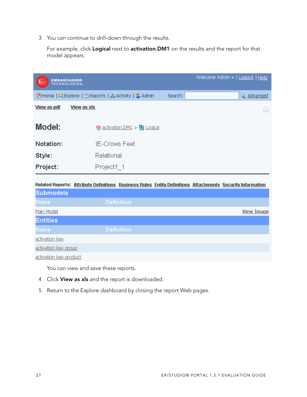3 You can continue to drill-down through the results.

For example, click **Logical** next to **activation.DM1** on the results and the report for that model appears.

| <b>EMBARCADERO</b><br>€<br>TECHNOLOGIES. |                                                                                                           |         | Welcome Admin -   Logout   Help |
|------------------------------------------|-----------------------------------------------------------------------------------------------------------|---------|---------------------------------|
|                                          | ↑ Home   2 Explore   E Reports   & Activity   3 Admin                                                     | Search: | Q Advanced                      |
| View as pdf                              | <b>View as xls</b>                                                                                        |         |                                 |
| Model:                                   | <u>activation.DM1</u> > $\blacksquare$ Logical                                                            |         |                                 |
| Notation:                                | IE-Crows Feet                                                                                             |         |                                 |
| Style:                                   | Relational                                                                                                |         |                                 |
| Project:                                 | Project1_1                                                                                                |         |                                 |
| <b>Submodels</b>                         | Related Reports: Attribute Definitions Business Rules Entity Definitions Attachments Security Information |         |                                 |
| Name                                     | <b>Definition</b>                                                                                         |         |                                 |

| Main Model             |                   | <b>View Image</b> |
|------------------------|-------------------|-------------------|
| <b>Entities</b>        |                   |                   |
| <b>Name</b>            | <b>Definition</b> |                   |
| activation key         |                   |                   |
| activation key group   |                   |                   |
| activation key product |                   |                   |

You can view and save these reports.

- 4 Click **View as xls** and the report is downloaded.
- 5 Return to the Explore dashboard by closing the report Web pages.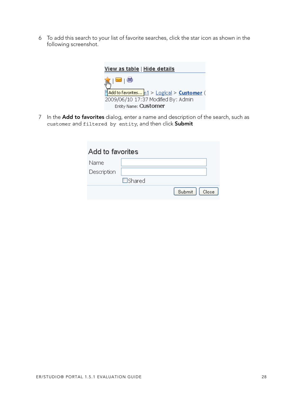6 To add this search to your list of favorite searches, click the star icon as shown in the following screenshot.



7 In the **Add to favorites** dialog, enter a name and description of the search, such as customer and filtered by entity, and then click **Submit**

| Add to favorites |               |                 |
|------------------|---------------|-----------------|
| Name             |               |                 |
| Description      |               |                 |
|                  | $\Box$ Shared |                 |
|                  |               | Submit<br>Close |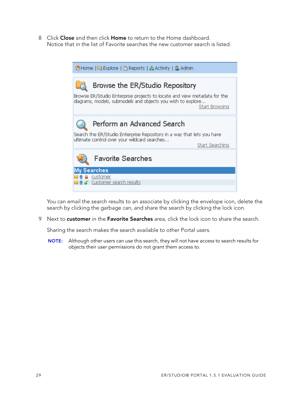8 Click **Close** and then click **Home** to return to the Home dashboard. Notice that in the list of Favorite searches the new customer search is listed.

| ↑ Home   2 Explore   E Reports   & Activity   3 Admin                                                                                   |                 |  |  |  |
|-----------------------------------------------------------------------------------------------------------------------------------------|-----------------|--|--|--|
|                                                                                                                                         |                 |  |  |  |
| Browse the ER/Studio Repository                                                                                                         |                 |  |  |  |
| Browse ER/Studio Enterprise projects to locate and view metadata for the<br>diagrams, models, submodels and objects you wish to explore | Start Browsing  |  |  |  |
| Perform an Advanced Search                                                                                                              |                 |  |  |  |
| Search the ER/Studio Enterprise Repository in a way that lets you have<br>ultimate control over your wildcard searches                  |                 |  |  |  |
|                                                                                                                                         | Start Searching |  |  |  |
| <b>Favorite Searches</b>                                                                                                                |                 |  |  |  |
| y Searches                                                                                                                              |                 |  |  |  |
| a customer                                                                                                                              |                 |  |  |  |
| ■ Customer search results                                                                                                               |                 |  |  |  |
|                                                                                                                                         |                 |  |  |  |

You can email the search results to an associate by clicking the envelope icon, delete the search by clicking the garbage can, and share the search by clicking the lock icon.

9 Next to **customer** in the **Favorite Searches** area, click the lock icon to share the search.

Sharing the search makes the search available to other Portal users.

**NOTE:** Although other users can use this search, they will not have access to search results for objects their user permissions do not grant them access to.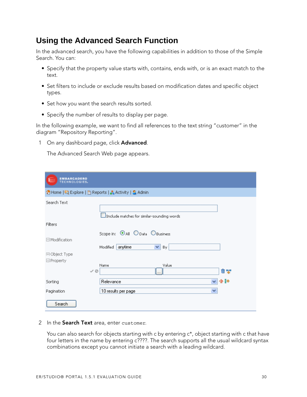### **Using the Advanced Search Function**

In the advanced search, you have the following capabilities in addition to those of the Simple Search. You can:

- Specify that the property value starts with, contains, ends with, or is an exact match to the text.
- Set filters to include or exclude results based on modification dates and specific object types.
- Set how you want the search results sorted.
- Specify the number of results to display per page.

In the following example, we want to find all references to the text string "customer" in the diagram "Repository Reporting".

1 On any dashboard page, click **Advanced**.

The Advanced Search Web page appears.

| <b>EMBARCADERO</b><br><b>TECHNOLOGIES.</b>            |                                                                     |  |
|-------------------------------------------------------|---------------------------------------------------------------------|--|
| ↑ Home   국 Explore   E Reports   소 Activity   3 Admin |                                                                     |  |
| Search Text                                           | $\mathbf 1$ Include matches for similar-sounding words              |  |
| <b>Filters</b>                                        |                                                                     |  |
| □ Modification<br>田 Object Type                       | Scope in: OAII O Data O Business<br>anytime<br>Modified<br>×<br>By. |  |
| $\Box$ Property                                       |                                                                     |  |
| $\checkmark$ 0                                        | Value<br>Name<br>û ¥<br>٠.,                                         |  |
| Sorting                                               | 企計<br>Relevance                                                     |  |
| Pagination                                            | ×<br>10 results per page                                            |  |
| Search                                                |                                                                     |  |

2 In the **Search Text** area, enter customer.

You can also search for objects starting with c by entering c\*, object starting with c that have four letters in the name by entering c????. The search supports all the usual wildcard syntax combinations except you cannot initiate a search with a leading wildcard.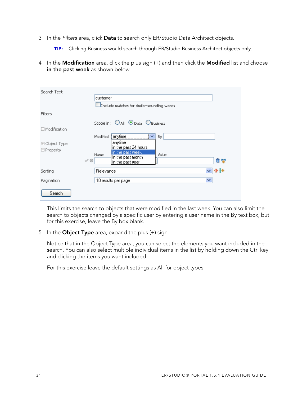- 3 In the Filters area, click **Data** to search only ER/Studio Data Architect objects.
	- **TIP:** Clicking Business would search through ER/Studio Business Architect objects only.
- 4 In the **Modification** area, click the plus sign (+) and then click the **Modified** list and choose **in the past week** as shown below.

| Search Text                                                  | customer<br>Include matches for similar-sounding words                                                                                      |
|--------------------------------------------------------------|---------------------------------------------------------------------------------------------------------------------------------------------|
| Filters                                                      |                                                                                                                                             |
| $\boxminus$ Modification<br>田 Object Type<br>$\Box$ Property | Scope in: OAII ®Data OBusiness<br>anytime<br>Modified<br>v<br>By.<br>anytime<br>in the past 24 hours.<br>in the past week.<br>Value<br>Name |
|                                                              | in the past month<br>命聖<br>$\checkmark$ 0<br>in the past year.                                                                              |
| Sorting                                                      | 小目小<br>Relevance<br>v                                                                                                                       |
| Pagination                                                   | v<br>10 results per page                                                                                                                    |
| Search                                                       |                                                                                                                                             |

This limits the search to objects that were modified in the last week. You can also limit the search to objects changed by a specific user by entering a user name in the By text box, but for this exercise, leave the By box blank.

5 In the **Object Type** area, expand the plus (+) sign.

Notice that in the Object Type area, you can select the elements you want included in the search. You can also select multiple individual items in the list by holding down the Ctrl key and clicking the items you want included.

[For this exercise leave the default settings as All for object types.](http://www.embarcadero.com/support)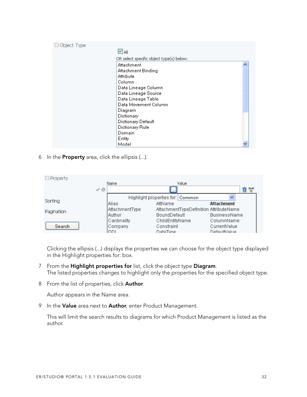| Object Type<br>$\vdash$ |                                          |  |
|-------------------------|------------------------------------------|--|
|                         | $\Box$ ail                               |  |
|                         | OR select specific object type(s) below: |  |
|                         | Attachment                               |  |
|                         | Attachment Binding                       |  |
|                         | Attribute                                |  |
|                         | Column                                   |  |
|                         | Data Lineage Column                      |  |
|                         | Data Lineage Source                      |  |
|                         | Data Lineage Table                       |  |
|                         | Data Movement Column                     |  |
|                         | Diagram                                  |  |
|                         | Dictionary                               |  |
|                         | Dictionary Default                       |  |
|                         | Dictionary Rule                          |  |
|                         | Domain                                   |  |
|                         | Entity                                   |  |
|                         | Model                                    |  |

6 In the **Property** area, click the ellipsis (...).

| $\Box$ Property |                |                |                                  |       |                                        |   |
|-----------------|----------------|----------------|----------------------------------|-------|----------------------------------------|---|
|                 |                | Name           |                                  | Value |                                        |   |
|                 | $\checkmark$ 0 |                | <br><u>ll</u>                    |       |                                        | Ô |
|                 |                |                | Highlight properties for: Common |       |                                        |   |
| Sortina         |                | IAlias.        | AttName                          |       | <b>Attachment</b>                      |   |
| Pagination      |                | AttachmentType |                                  |       | AttachmentTypeDefinition AttributeName |   |
|                 |                | <b>Author</b>  | BoundDefault                     |       | <b>BusinessName</b>                    |   |
|                 |                | Cardinality    | ChildEntityName                  |       | ColumnName                             |   |
| Search          |                | Company        | Constraint                       |       | CurrentValue                           |   |
|                 |                | <b>DDI</b>     | DataTyne                         |       | DefaultValue                           |   |

Clicking the ellipsis (...) displays the properties we can choose for the object type displayed in the Highlight properties for: box.

- 7 From the **Highlight properties for** list, click the object type **Diagram**. The listed properties changes to highlight only the properties for the specified object type.
- 8 From the list of properties, click **Author**.

Author appears in the Name area.

9 In the **Value** area next to **Author**, enter Product Management.

This will limit the search results to diagrams for which Product Management is listed as the author.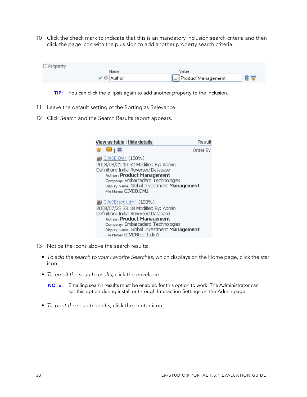10 Click the check mark to indicate that this is an mandatory inclusion search criteria and then click the page icon with the plus sign to add another property search criteria.

| $\Box$ Property |                 |                    |    |
|-----------------|-----------------|--------------------|----|
|                 | Name            | Value              |    |
|                 | $\vee$ © Author | Product Management | 自宰 |

- **TIP:** You can click the ellipsis again to add another property to the inclusion.
- 11 [Leave the default setting of the Sorting](http://www.embarcadero.com/resources/documentation.html) [as Relevance.](http://www.embarcadero.com/resources/online_demos.html)
- 12 Click Search and the Search Results report appears.

| <u>View as table   Hide details</u>                                                                                                                                                                                                                | Result:   |
|----------------------------------------------------------------------------------------------------------------------------------------------------------------------------------------------------------------------------------------------------|-----------|
| ★   ⊠   ⊜                                                                                                                                                                                                                                          | Order By: |
| <b>E</b> GIMDB.DM1 (100%)<br>2008/08/21 10:32 Modified By: Admin<br>Definition: Initial Reversed Database<br>Author: Product Management<br>Company: Embarcadero Technologies<br>Display Name: Global Investment Management<br>File Name: GIMDB.DM1 |           |
| 2008/07/23 23:18 Modified By: Admin<br>Definition: Initial Reversed Database<br>Author: Product Management<br>Company: Embarcadero Technologies<br>Display Name: Global Investment Management<br>File Name: GIMDBtest1.dm1                         |           |

- 13 Notice the icons above the search results:
	- To add the search to your Favorite Searches, which displays on the Home page, click the star icon.
	- To email the search results, click the envelope.

**NOTE:** Emailing search results must be enabled for this option to work. The Administrator can set this option during install or through Interaction Settings on the Admin page.

• To print the search results, click the printer icon.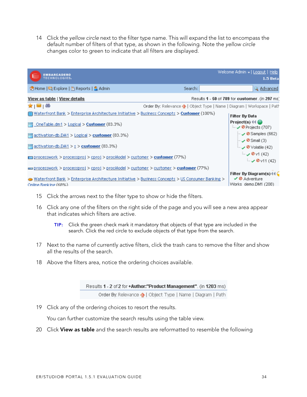14 Click the yellow circle next to the filter type name. This will expand the list to encompass the default number of filters of that type, as shown in the following. Note the yellow circle changes color to green to indicate that all filters are displayed.

| <b>EMBARCADERO</b><br><b>TECHNOLOGIES</b>                                                                                          |                                                                         | Welcome Admin +   Logout   Help<br>1.5 Beta                                     |
|------------------------------------------------------------------------------------------------------------------------------------|-------------------------------------------------------------------------|---------------------------------------------------------------------------------|
| 수 Home   국 Explore   출 Reports   및 Admin                                                                                           | Search:                                                                 | Q Advanced                                                                      |
| View as table   View details                                                                                                       |                                                                         | Results 1 - 50 of 789 for customer. (in 297 ms)                                 |
| <b>★ ⊠ ⊜</b>                                                                                                                       | Order By: Relevance ↑   Object Type   Name   Diagram   Workspace   Path |                                                                                 |
| $\Box$ Waterfront Bank > Enterprise Architecture Initiative > Business Concepts > Customer (100%)                                  |                                                                         | <b>Filter By Data</b>                                                           |
| $\Box$ OneTable.dm1 > Logical > Customer (83.3%)                                                                                   |                                                                         | Project(s) $44 \bigcirc$<br>— ✔ Ø Projects (707)                                |
| $\equiv$ activation-db.DM1 > Logical > customer (83.3%)                                                                            |                                                                         | $\sim$ 20 Samples (662)                                                         |
| $\equiv$ activation-db.DM1 > s > customer (83.3%)                                                                                  |                                                                         | $\sim$ 0 Small (3)<br>$\sim$ ⊘ $\vee$ olatile (42)                              |
| processwork > processproj > cproj > procModel > customer > <b>customer</b> (77%)                                                   |                                                                         | $\sim$ 0 v1 (42)<br>$\sim$ ⊘ v11 (42)                                           |
| processwork > processproj > cproj > procModel > customer > customer > <b>customer</b> (77%)                                        |                                                                         |                                                                                 |
| $\bullet$ Waterfront Bank > Enterprise Architecture Initiative > Business Concepts > US Consumer Banking ><br>Online Banking (68%) |                                                                         | Filter By Diagram(s) $\ll$<br>$\vee$ <b>Ø</b> Adventure<br>Works demo.DM1 (208) |

- 15 Click the arrows next to the filter type to show or hide the filters.
- 16 Click any one of the filters on the right side of the page and you will see a new area appear that indicates which filters are active.
	- **TIP:** Click the green check mark it mandatory that objects of that type are included in the search. Click the red circle to exclude objects of that type from the search.
- 17 Next to the name of currently active filters, click the trash cans to remove the filter and show all the results of the search.
- 18 Above the filters area, notice the ordering choices available.

| Results 1 - 2 of 2 for +Author:"Product Management". (in 1203 ms) |
|-------------------------------------------------------------------|
| Order By: Relevance (A) Object Type   Name   Diagram   Path       |

19 Click any of the ordering choices to resort the results.

You can further customize the search results using the table view.

20 Click **View as table** and the search results are reformatted to resemble the following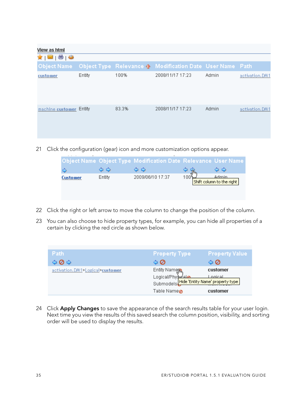| View as html            |        |       |                                                          |       |                 |
|-------------------------|--------|-------|----------------------------------------------------------|-------|-----------------|
| ★   ⊠   ⊜   ⊛           |        |       |                                                          |       |                 |
| <b>Object Name</b>      |        |       | Object Type Relevance 1 Modification Date User Name Path |       |                 |
| customer                | Entity | 100%  | 2008/11/17 17:23                                         | Admin | activation.DM1  |
| machine customer Entity |        | 83.3% | 2008/11/17 17:23                                         | Admin | activation. DM1 |

21 Click the configuration (gear) icon and more customization options appear.

|          |        | Object Name Object Type Modification Date Relevance User Name |                                           |
|----------|--------|---------------------------------------------------------------|-------------------------------------------|
|          |        |                                                               |                                           |
| Customer | Entity | 2009/06/10 17:37                                              | <u>Admin</u><br>Shift column to the right |

- 22 Click the right or left arrow to move the column to change the position of the column.
- 23 You can also choose to hide property types, for example, you can hide all properties of a certain by clicking the red circle as shown below.

| <b>Path</b>                     | <b>Property Type</b>                                                                                                                                                                                                           | <b>Property Value</b> |
|---------------------------------|--------------------------------------------------------------------------------------------------------------------------------------------------------------------------------------------------------------------------------|-----------------------|
| 900                             | 40                                                                                                                                                                                                                             | 90                    |
| activation.DM1>Logical>customer |                                                                                                                                                                                                                                |                       |
|                                 | Entity Namerican Control Custom Physical Control Custom Physical Custom Physical Custom Physical Custom Physical Custom Physical Custom Physical Custom Physical Custom Physical Custom Physical Custom Physical Custom Physic |                       |
|                                 | Table Name⊘                                                                                                                                                                                                                    | customer              |

24 Click **Apply Changes** to save the appearance of the search results table for your user login. Next time you view the results of this saved search the column position, visibility, and sorting order will be used to display the results.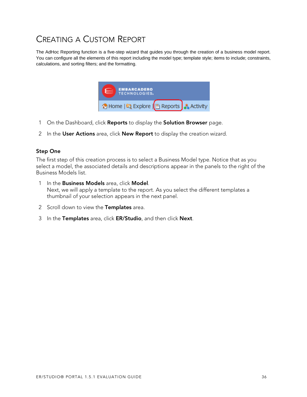### <span id="page-35-0"></span>CREATING A CUSTOM REPORT

[The AdHoc Reporting function is a five-step wizard that guides you through the creation of a business model report.](mailto:sales@embarcadero.com) [You can configure all the element](mailto:sales@embarcadero.com)[s of this report including the model type; template style; items to include; constraints,](mailto:uk.sales@embarcadero.com) [calculations, and sorting filters; and the formatting.](mailto:uk.sales@embarcadero.com)



- 1 On the Dashboard, click **Reports** to display the **Solution Browser** page.
- 2 In the **User Actions** area, click **New Report** to display the creation wizard.

#### **Step One**

The first step of this creation process is to select a Business Model type. Notice that as you [select a model, the associated details and descriptions appear in the panels to the right of the](http://www.embarcadero.com/jive/kbcategory.jspa?categoryID=1)  Business Models list.

- 1 In the **Business Models** area, click **Model**[.](http://www.embarcadero.com/jive/forumindex.jspa) [Next, we will apply a template to the report. As you select the different templates a](http://www.embarcadero.com/jive/forumindex.jspa)  thumbnail of your selection appears in the next panel.
- 2 Scroll down to view the **Templates** area.
- 3 In the **Templates** area, click **ER/Studio**, and then click **Next**.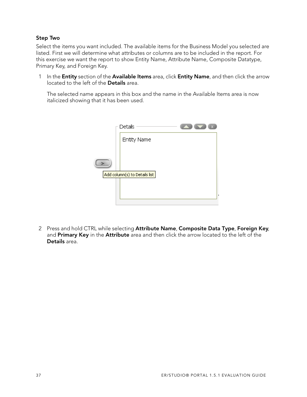#### **Step Two**

[Select the items you want included. The available items for the Business Model you selected are](http://www.embarcadero.com/)  listed. First we will determine what attributes or columns are to be included in the report. For this exercise we want the report to show Entity Name, Attribute Name, Composite Datatype, Primary Key, and Foreign Key.

1 In the **Entity** section of the **Available Items** area, click **Entity Name**, and then click the arrow located to the left of the **Details** area.

The selected name appears in this box and the name in the Available Items area is now italicized showing that it has been used.

| Details                       |  |
|-------------------------------|--|
| Entity Name                   |  |
|                               |  |
|                               |  |
| Add column(s) to Details list |  |
|                               |  |
|                               |  |
|                               |  |

2 Press and hold CTRL while selecting **Attribute Name**, **Composite Data Type**, **Foreign Key**, and **Primary Key** in the **Attribute** area and then click the arrow located to the left of the **Details** area.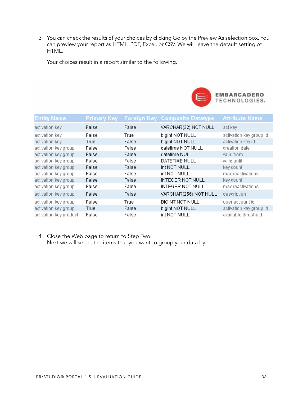3 You can check the results of your choices by clicking Go by the Preview As selection box. You can preview your report as HTML, PDF, Excel, or CSV. We will leave the default setting of HTML.

Your choices result in a report similar to the following.



| <b>Entity Name</b>     | Primary Key |       | Foreign Key Composite Datatype | <b>Attribute Name</b>   |
|------------------------|-------------|-------|--------------------------------|-------------------------|
| activation key         | False       | False | VARCHAR(32) NOT NULL           | act key                 |
| activation key         | False       | True  | bigint NOT NULL                | activation key group id |
| activation key         | True        | False | bigint NOT NULL                | activation key id       |
| activation key group   | False       | False | datetime NOT NULL              | creation date           |
| activation key group   | False       | False | datetime NULL                  | valid from              |
| activation key group   | False       | False | DATETIME NULL                  | valid until             |
| activation key group   | False       | False | int NOT NULL                   | key count               |
| activation key group   | False       | False | int NOT NULL                   | max reactivations       |
| activation key group   | False       | False | INTEGER NOT NULL               | key count               |
| activation key group   | False       | False | <b>INTEGER NOT NULL</b>        | max reactivations       |
| activation key group   | False       | False | VARCHAR(256) NOT NULL          | description             |
| activation key group   | False       | True  | <b>BIGINT NOT NULL</b>         | user account id         |
| activation key group   | True        | False | bigint NOT NULL                | activation key group id |
| activation key product | False       | False | int NOT NULL                   | available threshold     |

4 Close the Web page to return to Step Two. Next we will select the items that you want to group your data by.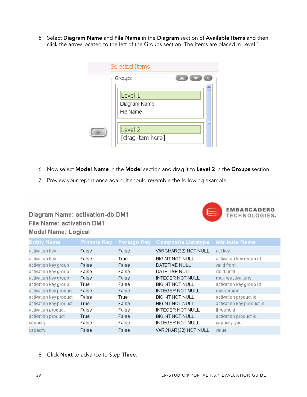5 Select **Diagram Name** and **File Name** in the **Diagram** section of **Available Items** and then click the arrow located to the left of the Groups section. The items are placed in Level 1.

| Selected Items                         |
|----------------------------------------|
| Groups                                 |
| Level 1<br>Diagram Name<br>File Name   |
| Level <sub>2</sub><br>[drag item here] |

- 6 Now select **Model Name** in the **Model** section and drag it to **Level 2** in the **Groups** section.
- 7 Preview your report once again. It should resemble the following example.

### Diagram Name: activation-db.DM1 File Name: activation.DM1 Model Name: Logical



| <b>Entity Name</b>     | Primary Key | Foreign Key | <b>Composite Datatype</b> | <b>Attribute Name</b>     |
|------------------------|-------------|-------------|---------------------------|---------------------------|
| activation key         | False       | False       | VARCHAR(32) NOT NULL      | act key                   |
| activation key         | False       | True        | BIGINT NOT NULL           | activation key group id   |
| activation key group   | False       | False       | DATETIME NULL             | valid from                |
| activation key group   | False       | False       | DATETIME NULL             | valid until               |
| activation key group   | False       | False       | <b>INTEGER NOT NULL</b>   | max reactivations         |
| activation key group   | True        | False       | <b>BIGINT NOT NULL</b>    | activation key group id   |
| activation key product | False       | False       | <b>INTEGER NOT NULL</b>   | row version               |
| activation key product | False       | True        | <b>BIGINT NOT NULL</b>    | activation product id     |
| activation key product | True        | False       | <b>BIGINT NOT NULL</b>    | activation key product id |
| activation product     | False       | False       | <b>INTEGER NOT NULL</b>   | threshold                 |
| activation product     | True        | False       | <b>BIGINT NOT NULL</b>    | activation product id     |
| capacity               | False       | False       | <b>INTEGER NOT NULL</b>   | capacity type             |
| capacity               | False       | False       | VARCHAR(32) NOT NULL      | value                     |

8 Click **Next** to advance to Step Three.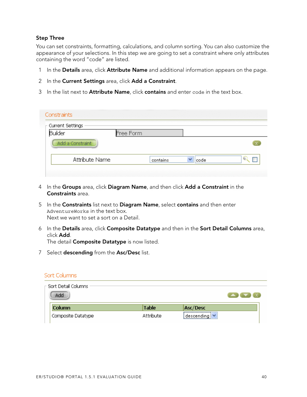#### **Step Three**

You can set constraints, formatting, calculations, and column sorting. You can also customize the appearance of your selections. In this step we are going to set a constraint where only attributes containing the word "code" are listed.

- 1 In the **Details** area, click **Attribute Name** and additional information appears on the page.
- 2 In the **Current Settings** area, click **Add a Constraint**.
- 3 In the list next to **Attribute Name**, click **contains** and enter code in the text box.

| Constraints               |           |          |      |  |
|---------------------------|-----------|----------|------|--|
| $\vdash$ Current Settings |           |          |      |  |
| Builder                   | Free Form |          |      |  |
| Add a Constraint          |           |          |      |  |
| Attribute Name            |           | contains | code |  |

- 4 In the **Groups** area, click **Diagram Name**, and then click **Add a Constraint** in the **Constraints** area.
- 5 In the **Constraints** list next to **Diagram Name**, select **contains** and then enter AdventureWorks in the text box. Next we want to set a sort on a Detail.
- 6 In the **Details** area, click **Composite Datatype** and then in the **Sort Detail Columns** area, click **Add**. The detail **Composite Datatype** is now listed.
- 7 Select **descending** from the **Asc/Desc** list.

#### Sort Columns

| - Sort Detail Columns .<br>Add |              |                   |  |
|--------------------------------|--------------|-------------------|--|
| <b>Column</b>                  | <b>Table</b> | Asc/Desc          |  |
| Composite Datatype             | Attribute    | <br>∣descending¦∨ |  |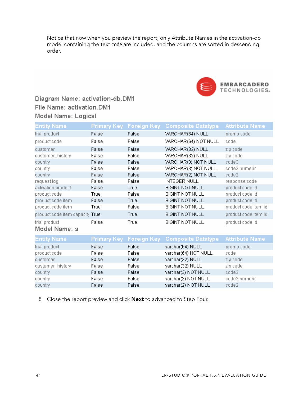Notice that now when you preview the report, only Attribute Names in the activation-db model containing the text code are included, and the columns are sorted in descending order.



code3

code2

code3 numeric

### Diagram Name: activation-db.DM1 File Name: activation.DM1 Model Name: Logical

| Entity Name                     | Primary Keyl | <b>Foreign Key</b> | <b>Composite Datatype</b> | <b>Attribute Name</b> |
|---------------------------------|--------------|--------------------|---------------------------|-----------------------|
| trial product                   | False        | False              | VARCHAR(64) NULL          | promo code            |
| product code                    | False        | False              | VARCHAR(64) NOT NULL      | code                  |
| customer                        | False        | False              | VARCHAR(32) NULL          | zip code              |
| customer_history                | False        | False              | VARCHAR(32) NULL          | zip code              |
| country                         | False        | False              | VARCHAR(3) NOT NULL       | code3                 |
| country                         | False        | False              | VARCHAR(3) NOT NULL       | code3 numeric         |
| country                         | False        | False              | VARCHAR(2) NOT NULL       | code2                 |
| request log                     | False        | False              | <b>INTEGER NULL</b>       | response code         |
| activation product              | False        | True               | BIGINT NOT NULL           | product code id       |
| product code                    | True         | False              | <b>BIGINT NOT NULL</b>    | product code id       |
| product code item               | False        | True               | <b>BIGINT NOT NULL</b>    | product code id       |
| product code item               | True         | False              | <b>BIGINT NOT NULL</b>    | product code item id  |
| product code item capacity True |              | True               | <b>BIGINT NOT NULL</b>    | product code item id  |
| trial product                   | False        | True               | <b>BIGINT NOT NULL</b>    | product code id       |
| Model Name: s                   |              |                    |                           |                       |
| <b>Entity Name</b>              | Primary Keyl | <b>Foreign Key</b> | <b>Composite Datatype</b> | <b>Attribute Name</b> |
| trial product                   | False        | False              | varchar(64) NULL          | promo code            |
| product code                    | False        | False              | varchar(64) NOT NULL      | code                  |
| customer                        | False        | False              | varchar(32) NULL          | zip code              |
| customer_history                | False        | False              | varchar(32) NULL          | zip code              |

8 Close the report preview and click **Next** to advanced to Step Four.

False

False

False

False

False False varchar(3) NOT NULL

varchar(3) NOT NULL

varchar(2) NOT NULL

country

country

country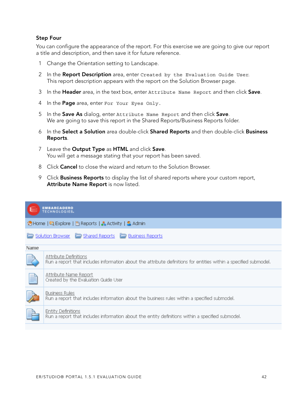#### **Step Four**

You can configure the appearance of the report. For this exercise we are going to give our report a title and description, and then save it for future reference.

- 1 Change the Orientation setting to Landscape.
- 2 In the **Report Description** area, enter Created by the Evaluation Guide User. This report description appears with the report on the Solution Browser page.
- 3 In the **Header** area, in the text box, enter Attribute Name Report and then click **Save**.
- 4 In the **Page** area, enter For Your Eyes Only.
- 5 In the **Save As** dialog, enter Attribute Name Report and then click **Save**. We are going to save this report in the Shared Reports/Business Reports folder.
- 6 In the **Select a Solution** area double-click **Shared Reports** and then double-click **Business Reports**.
- 7 Leave the **Output Type** as **HTML** and click **Save**. You will get a message stating that your report has been saved.
- 8 Click **Cancel** to close the wizard and return to the Solution Browser.
- 9 Click **Business Reports** to display the list of shared reports where your custom report, **Attribute Name Report** is now listed.

|          | <b>EMBARCADERO</b><br><b>TECHNOLOGIES</b>                                                                                                 |  |  |
|----------|-------------------------------------------------------------------------------------------------------------------------------------------|--|--|
|          | ↑ Home   2 Explore   E Reports   Activity   3 Admin                                                                                       |  |  |
|          | Solution Browser <b>Companies Companies</b> Business Reports                                                                              |  |  |
| Name     |                                                                                                                                           |  |  |
|          | Attribute Definitions<br>Run a report that includes information about the attribute definitions for entities within a specified submodel. |  |  |
| $\equiv$ | Attribute Name Report<br>Created by the Evaluation Guide User                                                                             |  |  |
|          | <b>Business Rules</b><br>Run a report that includes information about the business rules within a specified submodel.                     |  |  |
|          | <b>Entity Definitions</b><br>Run a report that includes information about the entity definitions within a specified submodel.             |  |  |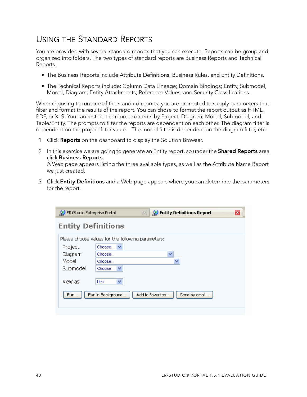### <span id="page-42-0"></span>USING THE STANDARD REPORTS

You are provided with several standard reports that you can execute. Reports can be group and organized into folders. The two types of standard reports are Business Reports and Technical Reports.

- The Business Reports include Attribute Definitions, Business Rules, and Entity Definitions.
- The Technical Reports include: Column Data Lineage; Domain Bindings; Entity, Submodel, Model, Diagram; Entity Attachments; Reference Values; and Security Classifications.

When choosing to run one of the standard reports, you are prompted to supply parameters that filter and format the results of the report. You can chose to format the report output as HTML, PDF, or XLS. You can restrict the report contents by Project, Diagram, Model, Submodel, and Table/Entity. The prompts to filter the reports are dependent on each other. The diagram filter is dependent on the project filter value. The model filter is dependent on the diagram filter, etc.

- 1 Click **Reports** on the dashboard to display the Solution Browser.
- 2 In this exercise we are going to generate an Entity report, so under the **Shared Reports** area click **Business Reports**.

A Web page appears listing the three available types, as well as the Attribute Name Report we just created.

3 Click **Entity Definitions** and a Web page appears where you can determine the parameters for the report.

| ER/Studio Enterprise Portal | <b>Entity Definitions Report</b><br>[83]<br>오                       |  |
|-----------------------------|---------------------------------------------------------------------|--|
| <b>Entity Definitions</b>   |                                                                     |  |
|                             | Please choose values for the following parameters:                  |  |
| Project                     | Choose                                                              |  |
| Diagram                     | Choose<br>v                                                         |  |
| Model                       | Choose                                                              |  |
| Submodel                    | Choose V                                                            |  |
| View as<br>Run              | v<br>html<br>Add to Favorites<br>Send by email<br>Run in Background |  |